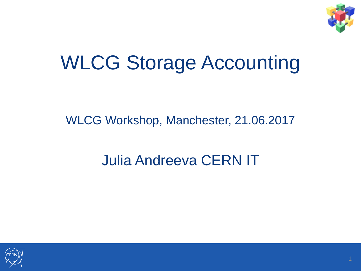

#### WLCG Storage Accounting

#### WLCG Workshop, Manchester, 21.06.2017

#### Julia Andreeva CERN IT

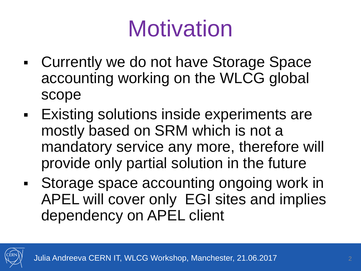# **Motivation**

- Currently we do not have Storage Space accounting working on the WLCG global scope
- Existing solutions inside experiments are mostly based on SRM which is not a mandatory service any more, therefore will provide only partial solution in the future
- Storage space accounting ongoing work in APEL will cover only EGI sites and implies dependency on APEL client

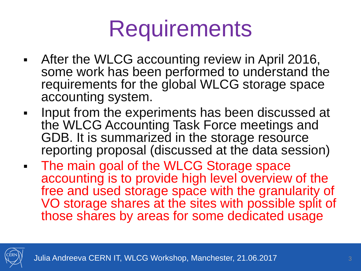### **Requirements**

- After the WLCG accounting review in April 2016, some work has been performed to understand the requirements for the global WLCG storage space accounting system.
- Input from the experiments has been discussed at the WLCG Accounting Task Force meetings and GDB. It is summarized in the storage resource reporting proposal (discussed at the data session)
- **The main goal of the WLCG Storage space** accounting is to provide high level overview of the free and used storage space with the granularity of VO storage shares at the sites with possible split of those shares by areas for some dedicated usage

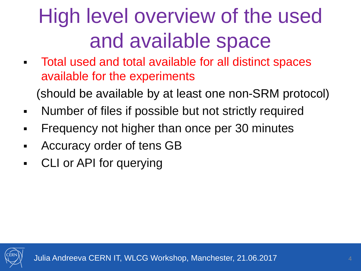#### High level overview of the used and available space

 Total used and total available for all distinct spaces available for the experiments

(should be available by at least one non-SRM protocol)

- Number of files if possible but not strictly required
- Frequency not higher than once per 30 minutes
- Accuracy order of tens GB
- CLI or API for querying

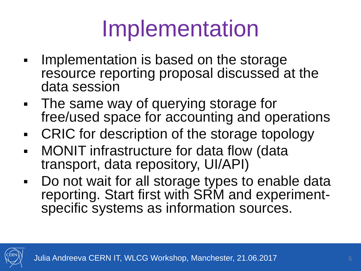# Implementation

- Implementation is based on the storage resource reporting proposal discussed at the data session
- The same way of querying storage for free/used space for accounting and operations
- CRIC for description of the storage topology
- MONIT infrastructure for data flow (data transport, data repository, UI/API)
- Do not wait for all storage types to enable data reporting. Start first with SRM and experimentspecific systems as information sources.

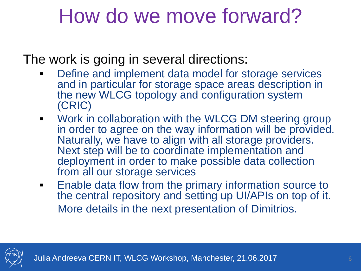#### How do we move forward?

The work is going in several directions:

- **Define and implement data model for storage services** and in particular for storage space areas description in the new WLCG topology and configuration system (CRIC)
- **Work in collaboration with the WLCG DM steering group** in order to agree on the way information will be provided. Naturally, we have to align with all storage providers. Next step will be to coordinate implementation and deployment in order to make possible data collection from all our storage services
- **Enable data flow from the primary information source to** the central repository and setting up UI/APIs on top of it. More details in the next presentation of Dimitrios.